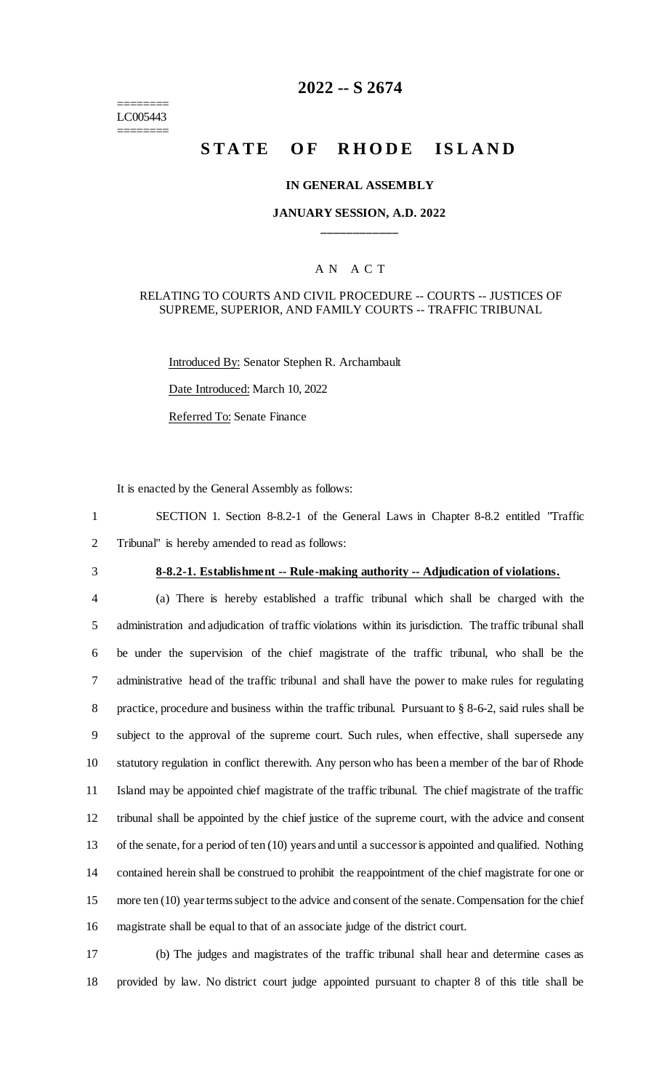======== LC005443 ========

# **2022 -- S 2674**

# **STATE OF RHODE ISLAND**

#### **IN GENERAL ASSEMBLY**

# **JANUARY SESSION, A.D. 2022 \_\_\_\_\_\_\_\_\_\_\_\_**

# A N A C T

#### RELATING TO COURTS AND CIVIL PROCEDURE -- COURTS -- JUSTICES OF SUPREME, SUPERIOR, AND FAMILY COURTS -- TRAFFIC TRIBUNAL

Introduced By: Senator Stephen R. Archambault Date Introduced: March 10, 2022 Referred To: Senate Finance

It is enacted by the General Assembly as follows:

1 SECTION 1. Section 8-8.2-1 of the General Laws in Chapter 8-8.2 entitled "Traffic 2 Tribunal" is hereby amended to read as follows:

# 3 **8-8.2-1. Establishment -- Rule-making authority -- Adjudication of violations.**

 (a) There is hereby established a traffic tribunal which shall be charged with the administration and adjudication of traffic violations within its jurisdiction. The traffic tribunal shall be under the supervision of the chief magistrate of the traffic tribunal, who shall be the administrative head of the traffic tribunal and shall have the power to make rules for regulating practice, procedure and business within the traffic tribunal. Pursuant to § 8-6-2, said rules shall be subject to the approval of the supreme court. Such rules, when effective, shall supersede any statutory regulation in conflict therewith. Any person who has been a member of the bar of Rhode Island may be appointed chief magistrate of the traffic tribunal. The chief magistrate of the traffic tribunal shall be appointed by the chief justice of the supreme court, with the advice and consent of the senate, for a period of ten (10) years and until a successor is appointed and qualified. Nothing contained herein shall be construed to prohibit the reappointment of the chief magistrate for one or more ten (10) year terms subject to the advice and consent of the senate. Compensation for the chief magistrate shall be equal to that of an associate judge of the district court.

17 (b) The judges and magistrates of the traffic tribunal shall hear and determine cases as 18 provided by law. No district court judge appointed pursuant to chapter 8 of this title shall be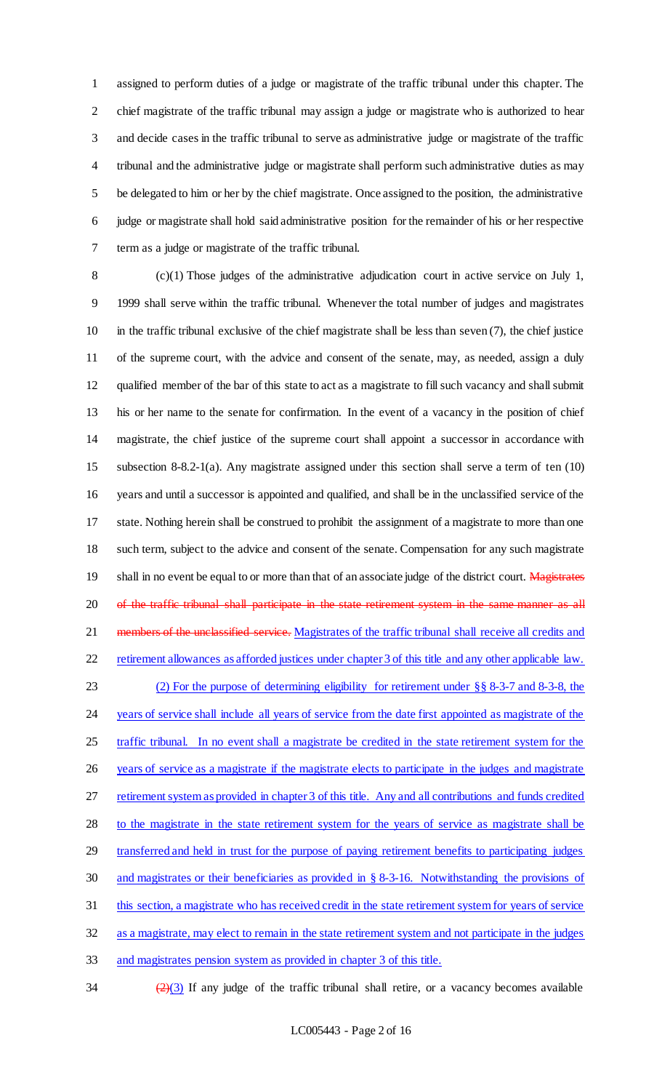assigned to perform duties of a judge or magistrate of the traffic tribunal under this chapter. The chief magistrate of the traffic tribunal may assign a judge or magistrate who is authorized to hear and decide cases in the traffic tribunal to serve as administrative judge or magistrate of the traffic tribunal and the administrative judge or magistrate shall perform such administrative duties as may be delegated to him or her by the chief magistrate. Once assigned to the position, the administrative judge or magistrate shall hold said administrative position for the remainder of his or her respective term as a judge or magistrate of the traffic tribunal.

 (c)(1) Those judges of the administrative adjudication court in active service on July 1, 1999 shall serve within the traffic tribunal. Whenever the total number of judges and magistrates in the traffic tribunal exclusive of the chief magistrate shall be less than seven (7), the chief justice of the supreme court, with the advice and consent of the senate, may, as needed, assign a duly qualified member of the bar of this state to act as a magistrate to fill such vacancy and shall submit his or her name to the senate for confirmation. In the event of a vacancy in the position of chief magistrate, the chief justice of the supreme court shall appoint a successor in accordance with subsection 8-8.2-1(a). Any magistrate assigned under this section shall serve a term of ten (10) years and until a successor is appointed and qualified, and shall be in the unclassified service of the state. Nothing herein shall be construed to prohibit the assignment of a magistrate to more than one such term, subject to the advice and consent of the senate. Compensation for any such magistrate 19 shall in no event be equal to or more than that of an associate judge of the district court. Magistrates 20 of the traffic tribunal shall participate in the state retirement system in the same manner as all 21 members of the unclassified service. Magistrates of the traffic tribunal shall receive all credits and retirement allowances as afforded justices under chapter 3 of this title and any other applicable law. (2) For the purpose of determining eligibility for retirement under §§ 8-3-7 and 8-3-8, the 24 years of service shall include all years of service from the date first appointed as magistrate of the traffic tribunal. In no event shall a magistrate be credited in the state retirement system for the years of service as a magistrate if the magistrate elects to participate in the judges and magistrate 27 retirement system as provided in chapter 3 of this title. Any and all contributions and funds credited 28 to the magistrate in the state retirement system for the years of service as magistrate shall be 29 transferred and held in trust for the purpose of paying retirement benefits to participating judges and magistrates or their beneficiaries as provided in § 8-3-16. Notwithstanding the provisions of 31 this section, a magistrate who has received credit in the state retirement system for years of service as a magistrate, may elect to remain in the state retirement system and not participate in the judges and magistrates pension system as provided in chapter 3 of this title.

 $\frac{(2)(3)}{2}$  If any judge of the traffic tribunal shall retire, or a vacancy becomes available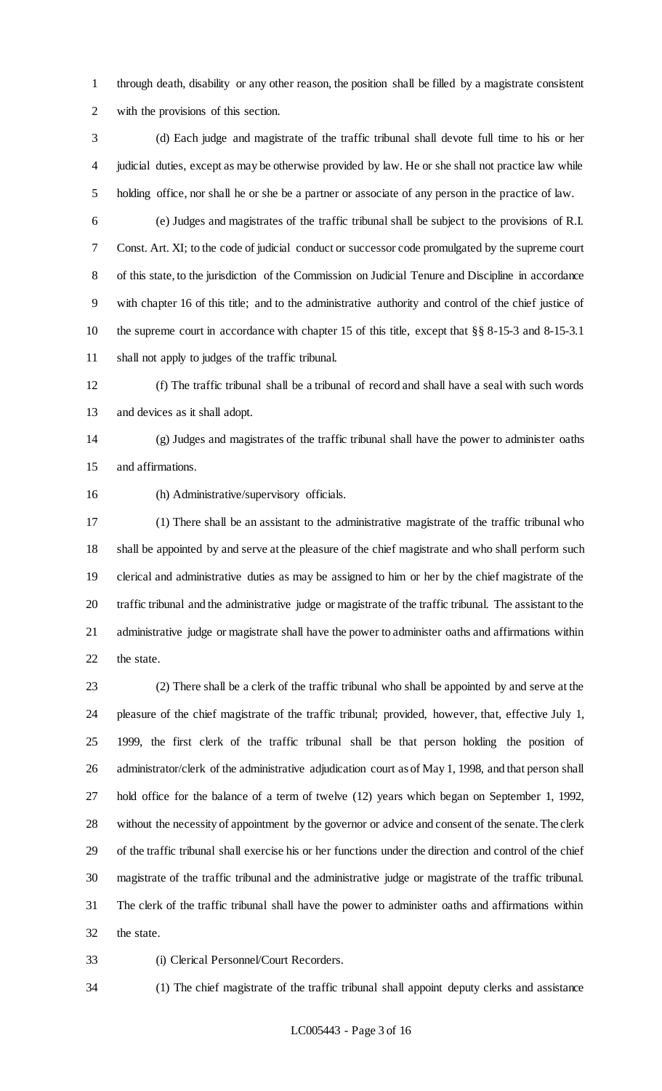through death, disability or any other reason, the position shall be filled by a magistrate consistent with the provisions of this section.

 (d) Each judge and magistrate of the traffic tribunal shall devote full time to his or her judicial duties, except as may be otherwise provided by law. He or she shall not practice law while holding office, nor shall he or she be a partner or associate of any person in the practice of law.

 (e) Judges and magistrates of the traffic tribunal shall be subject to the provisions of R.I. Const. Art. XI; to the code of judicial conduct or successor code promulgated by the supreme court of this state, to the jurisdiction of the Commission on Judicial Tenure and Discipline in accordance with chapter 16 of this title; and to the administrative authority and control of the chief justice of the supreme court in accordance with chapter 15 of this title, except that §§ 8-15-3 and 8-15-3.1 shall not apply to judges of the traffic tribunal.

 (f) The traffic tribunal shall be a tribunal of record and shall have a seal with such words and devices as it shall adopt.

 (g) Judges and magistrates of the traffic tribunal shall have the power to administer oaths and affirmations.

(h) Administrative/supervisory officials.

 (1) There shall be an assistant to the administrative magistrate of the traffic tribunal who shall be appointed by and serve at the pleasure of the chief magistrate and who shall perform such clerical and administrative duties as may be assigned to him or her by the chief magistrate of the traffic tribunal and the administrative judge or magistrate of the traffic tribunal. The assistant to the administrative judge or magistrate shall have the power to administer oaths and affirmations within the state.

 (2) There shall be a clerk of the traffic tribunal who shall be appointed by and serve at the pleasure of the chief magistrate of the traffic tribunal; provided, however, that, effective July 1, 1999, the first clerk of the traffic tribunal shall be that person holding the position of administrator/clerk of the administrative adjudication court as of May 1, 1998, and that person shall hold office for the balance of a term of twelve (12) years which began on September 1, 1992, without the necessity of appointment by the governor or advice and consent of the senate. The clerk of the traffic tribunal shall exercise his or her functions under the direction and control of the chief magistrate of the traffic tribunal and the administrative judge or magistrate of the traffic tribunal. The clerk of the traffic tribunal shall have the power to administer oaths and affirmations within the state.

(i) Clerical Personnel/Court Recorders.

(1) The chief magistrate of the traffic tribunal shall appoint deputy clerks and assistance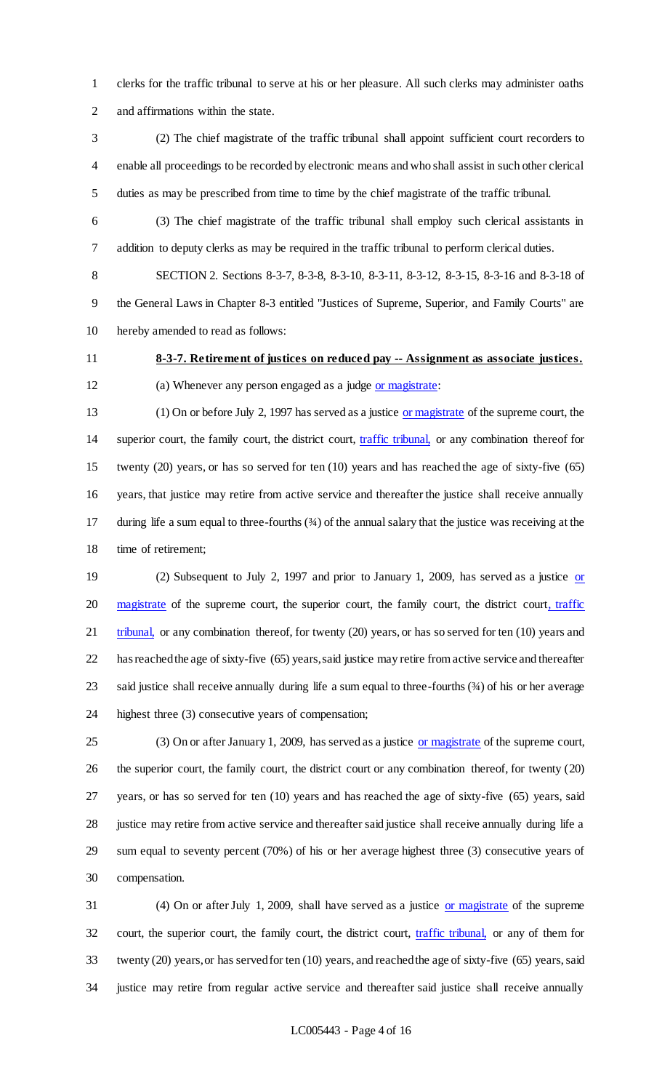clerks for the traffic tribunal to serve at his or her pleasure. All such clerks may administer oaths and affirmations within the state.

 (2) The chief magistrate of the traffic tribunal shall appoint sufficient court recorders to enable all proceedings to be recorded by electronic means and who shall assist in such other clerical duties as may be prescribed from time to time by the chief magistrate of the traffic tribunal.

 (3) The chief magistrate of the traffic tribunal shall employ such clerical assistants in addition to deputy clerks as may be required in the traffic tribunal to perform clerical duties.

 SECTION 2. Sections 8-3-7, 8-3-8, 8-3-10, 8-3-11, 8-3-12, 8-3-15, 8-3-16 and 8-3-18 of the General Laws in Chapter 8-3 entitled "Justices of Supreme, Superior, and Family Courts" are hereby amended to read as follows:

**8-3-7. Retirement of justices on reduced pay -- Assignment as associate justices.**

(a) Whenever any person engaged as a judge or magistrate:

 (1) On or before July 2, 1997 has served as a justice or magistrate of the supreme court, the superior court, the family court, the district court, traffic tribunal, or any combination thereof for twenty (20) years, or has so served for ten (10) years and has reached the age of sixty-five (65) years, that justice may retire from active service and thereafter the justice shall receive annually during life a sum equal to three-fourths (¾) of the annual salary that the justice was receiving at the time of retirement;

19 (2) Subsequent to July 2, 1997 and prior to January 1, 2009, has served as a justice or 20 magistrate of the supreme court, the superior court, the family court, the district court, traffic 21 tribunal, or any combination thereof, for twenty (20) years, or has so served for ten (10) years and has reached the age of sixty-five (65) years, said justice may retire from active service and thereafter 23 said justice shall receive annually during life a sum equal to three-fourths (34) of his or her average highest three (3) consecutive years of compensation;

25 (3) On or after January 1, 2009, has served as a justice or magistrate of the supreme court, the superior court, the family court, the district court or any combination thereof, for twenty (20) years, or has so served for ten (10) years and has reached the age of sixty-five (65) years, said 28 justice may retire from active service and thereafter said justice shall receive annually during life a sum equal to seventy percent (70%) of his or her average highest three (3) consecutive years of compensation.

 (4) On or after July 1, 2009, shall have served as a justice or magistrate of the supreme 32 court, the superior court, the family court, the district court, traffic tribunal, or any of them for twenty (20) years, or has served for ten (10) years, and reached the age of sixty-five (65) years, said justice may retire from regular active service and thereafter said justice shall receive annually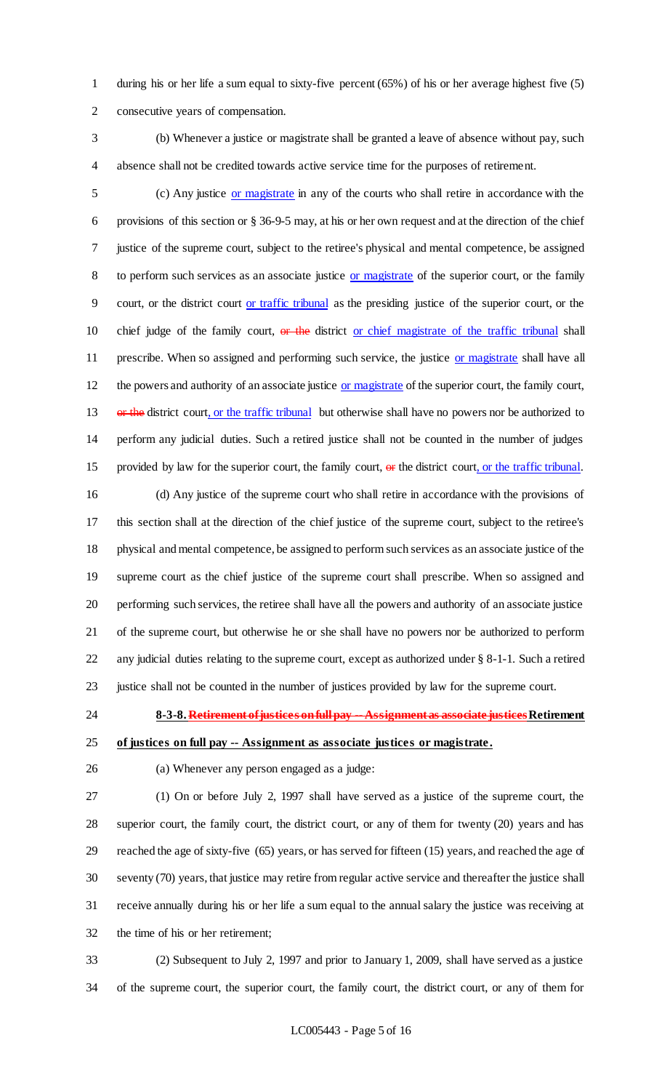during his or her life a sum equal to sixty-five percent (65%) of his or her average highest five (5) consecutive years of compensation.

 (b) Whenever a justice or magistrate shall be granted a leave of absence without pay, such absence shall not be credited towards active service time for the purposes of retirement.

 (c) Any justice or magistrate in any of the courts who shall retire in accordance with the provisions of this section or § 36-9-5 may, at his or her own request and at the direction of the chief justice of the supreme court, subject to the retiree's physical and mental competence, be assigned 8 to perform such services as an associate justice or magistrate of the superior court, or the family court, or the district court or traffic tribunal as the presiding justice of the superior court, or the 10 chief judge of the family court, or the district or chief magistrate of the traffic tribunal shall 11 prescribe. When so assigned and performing such service, the justice or magistrate shall have all 12 the powers and authority of an associate justice or magistrate of the superior court, the family court, 13 or the district court, or the traffic tribunal but otherwise shall have no powers nor be authorized to perform any judicial duties. Such a retired justice shall not be counted in the number of judges 15 provided by law for the superior court, the family court, or the district court, or the traffic tribunal.

 (d) Any justice of the supreme court who shall retire in accordance with the provisions of this section shall at the direction of the chief justice of the supreme court, subject to the retiree's physical and mental competence, be assigned to perform such services as an associate justice of the supreme court as the chief justice of the supreme court shall prescribe. When so assigned and performing such services, the retiree shall have all the powers and authority of an associate justice of the supreme court, but otherwise he or she shall have no powers nor be authorized to perform any judicial duties relating to the supreme court, except as authorized under § 8-1-1. Such a retired justice shall not be counted in the number of justices provided by law for the supreme court.

**8-3-8. Retirement of justices on full pay --Assignment as associate justicesRetirement** 

**of justices on full pay -- Assignment as associate justices or magistrate.**

(a) Whenever any person engaged as a judge:

 (1) On or before July 2, 1997 shall have served as a justice of the supreme court, the superior court, the family court, the district court, or any of them for twenty (20) years and has reached the age of sixty-five (65) years, or has served for fifteen (15) years, and reached the age of seventy (70) years, that justice may retire from regular active service and thereafter the justice shall receive annually during his or her life a sum equal to the annual salary the justice was receiving at the time of his or her retirement;

 (2) Subsequent to July 2, 1997 and prior to January 1, 2009, shall have served as a justice of the supreme court, the superior court, the family court, the district court, or any of them for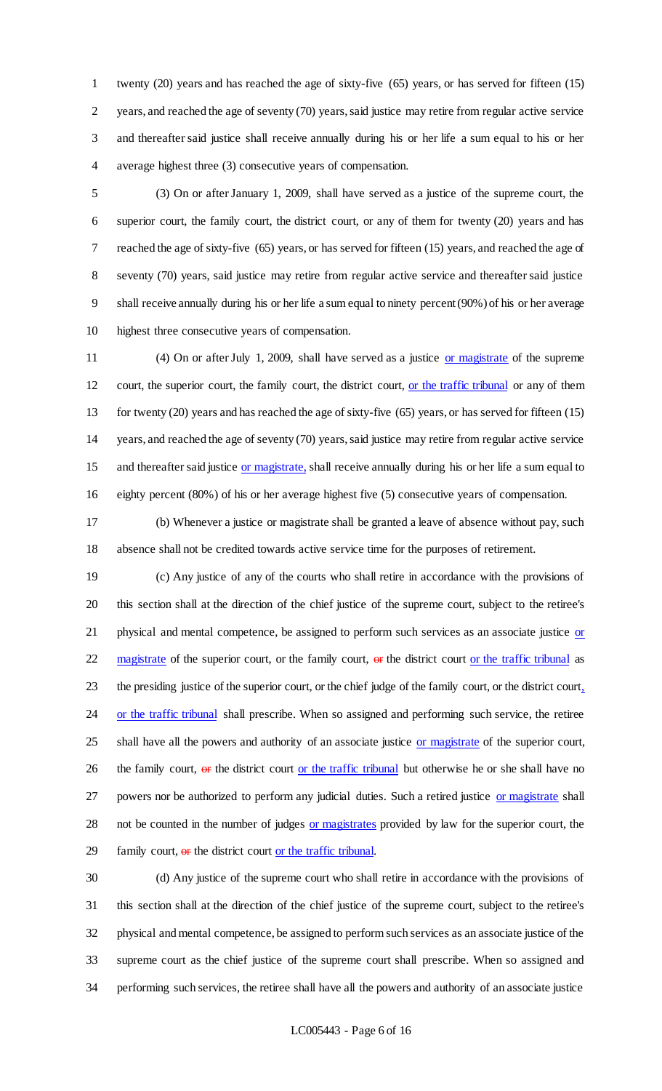twenty (20) years and has reached the age of sixty-five (65) years, or has served for fifteen (15) years, and reached the age of seventy (70) years, said justice may retire from regular active service and thereafter said justice shall receive annually during his or her life a sum equal to his or her average highest three (3) consecutive years of compensation.

 (3) On or after January 1, 2009, shall have served as a justice of the supreme court, the superior court, the family court, the district court, or any of them for twenty (20) years and has reached the age of sixty-five (65) years, or has served for fifteen (15) years, and reached the age of seventy (70) years, said justice may retire from regular active service and thereafter said justice shall receive annually during his or her life a sum equal to ninety percent (90%) of his or her average highest three consecutive years of compensation.

11 (4) On or after July 1, 2009, shall have served as a justice or magistrate of the supreme court, the superior court, the family court, the district court, or the traffic tribunal or any of them for twenty (20) years and has reached the age of sixty-five (65) years, or has served for fifteen (15) years, and reached the age of seventy (70) years, said justice may retire from regular active service 15 and thereafter said justice or magistrate, shall receive annually during his or her life a sum equal to eighty percent (80%) of his or her average highest five (5) consecutive years of compensation.

 (b) Whenever a justice or magistrate shall be granted a leave of absence without pay, such absence shall not be credited towards active service time for the purposes of retirement.

 (c) Any justice of any of the courts who shall retire in accordance with the provisions of this section shall at the direction of the chief justice of the supreme court, subject to the retiree's 21 physical and mental competence, be assigned to perform such services as an associate justice or 22 magistrate of the superior court, or the family court,  $\theta$  is the district court or the traffic tribunal as 23 the presiding justice of the superior court, or the chief judge of the family court, or the district court, 24 or the traffic tribunal shall prescribe. When so assigned and performing such service, the retiree 25 shall have all the powers and authority of an associate justice or magistrate of the superior court, 26 the family court,  $\theta$  is the district court or the traffic tribunal but otherwise he or she shall have no 27 powers nor be authorized to perform any judicial duties. Such a retired justice or magistrate shall 28 not be counted in the number of judges or magistrates provided by law for the superior court, the 29 family court, or the district court or the traffic tribunal.

 (d) Any justice of the supreme court who shall retire in accordance with the provisions of this section shall at the direction of the chief justice of the supreme court, subject to the retiree's physical and mental competence, be assigned to perform such services as an associate justice of the supreme court as the chief justice of the supreme court shall prescribe. When so assigned and performing such services, the retiree shall have all the powers and authority of an associate justice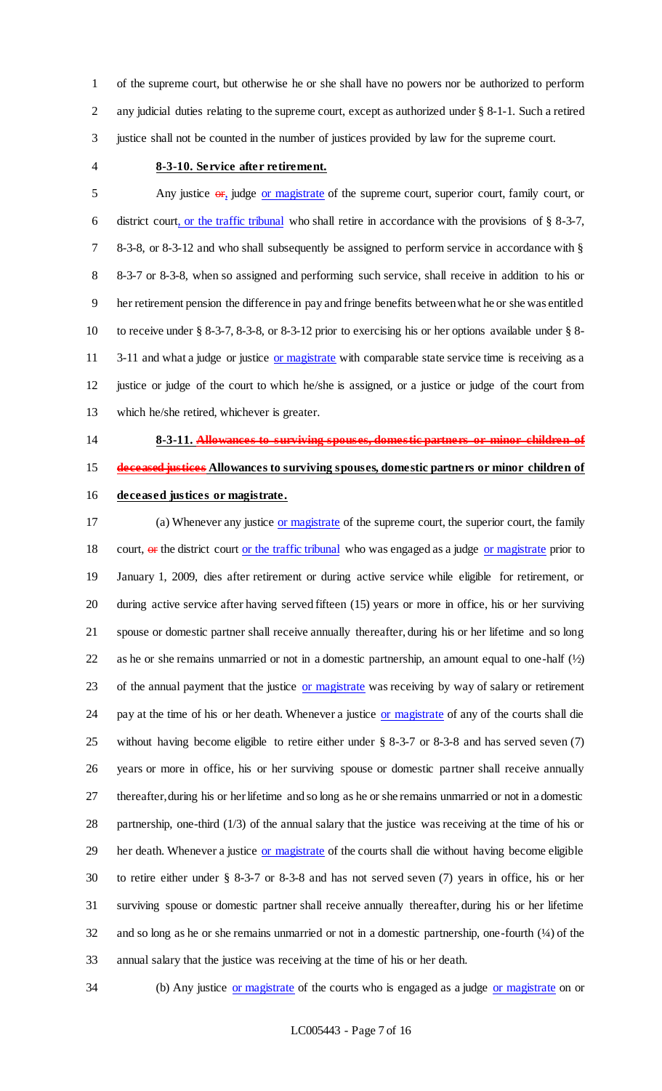of the supreme court, but otherwise he or she shall have no powers nor be authorized to perform any judicial duties relating to the supreme court, except as authorized under § 8-1-1. Such a retired justice shall not be counted in the number of justices provided by law for the supreme court.

#### **8-3-10. Service after retirement.**

 Any justice  $\Theta$ **F**, judge or magistrate of the supreme court, superior court, family court, or 6 district court, or the traffic tribunal who shall retire in accordance with the provisions of  $\S$  8-3-7, 8-3-8, or 8-3-12 and who shall subsequently be assigned to perform service in accordance with § 8-3-7 or 8-3-8, when so assigned and performing such service, shall receive in addition to his or her retirement pension the difference in pay and fringe benefits between what he or she was entitled to receive under § 8-3-7, 8-3-8, or 8-3-12 prior to exercising his or her options available under § 8- 11 3-11 and what a judge or justice or magistrate with comparable state service time is receiving as a justice or judge of the court to which he/she is assigned, or a justice or judge of the court from which he/she retired, whichever is greater.

**8-3-11. Allowances to surviving spouses, domestic partners or minor children of** 

# **deceased justices Allowances to surviving spouses, domestic partners or minor children of**

### **deceased justices or magistrate.**

 (a) Whenever any justice or magistrate of the supreme court, the superior court, the family 18 court, or the district court or the traffic tribunal who was engaged as a judge or magistrate prior to January 1, 2009, dies after retirement or during active service while eligible for retirement, or during active service after having served fifteen (15) years or more in office, his or her surviving spouse or domestic partner shall receive annually thereafter, during his or her lifetime and so long as he or she remains unmarried or not in a domestic partnership, an amount equal to one-half (½) 23 of the annual payment that the justice or magistrate was receiving by way of salary or retirement 24 pay at the time of his or her death. Whenever a justice or magistrate of any of the courts shall die without having become eligible to retire either under § 8-3-7 or 8-3-8 and has served seven (7) years or more in office, his or her surviving spouse or domestic partner shall receive annually thereafter, during his or her lifetime and so long as he or she remains unmarried or not in a domestic partnership, one-third (1/3) of the annual salary that the justice was receiving at the time of his or 29 her death. Whenever a justice or magistrate of the courts shall die without having become eligible to retire either under § 8-3-7 or 8-3-8 and has not served seven (7) years in office, his or her surviving spouse or domestic partner shall receive annually thereafter, during his or her lifetime and so long as he or she remains unmarried or not in a domestic partnership, one-fourth (¼) of the annual salary that the justice was receiving at the time of his or her death.

34 (b) Any justice or magistrate of the courts who is engaged as a judge or magistrate on or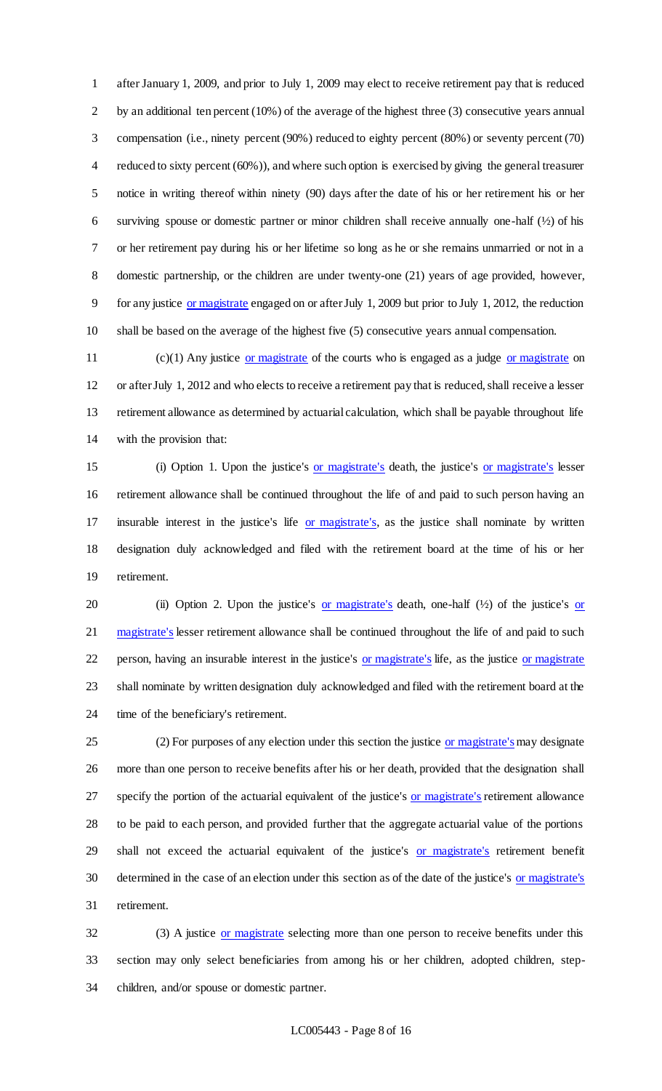after January 1, 2009, and prior to July 1, 2009 may elect to receive retirement pay that is reduced by an additional ten percent (10%) of the average of the highest three (3) consecutive years annual compensation (i.e., ninety percent (90%) reduced to eighty percent (80%) or seventy percent (70) reduced to sixty percent (60%)), and where such option is exercised by giving the general treasurer notice in writing thereof within ninety (90) days after the date of his or her retirement his or her surviving spouse or domestic partner or minor children shall receive annually one-half (½) of his or her retirement pay during his or her lifetime so long as he or she remains unmarried or not in a domestic partnership, or the children are under twenty-one (21) years of age provided, however, for any justice or magistrate engaged on or after July 1, 2009 but prior to July 1, 2012, the reduction shall be based on the average of the highest five (5) consecutive years annual compensation.

11 (c)(1) Any justice or magistrate of the courts who is engaged as a judge or magistrate on or after July 1, 2012 and who elects to receive a retirement pay that is reduced, shall receive a lesser retirement allowance as determined by actuarial calculation, which shall be payable throughout life with the provision that:

 (i) Option 1. Upon the justice's or magistrate's death, the justice's or magistrate's lesser retirement allowance shall be continued throughout the life of and paid to such person having an insurable interest in the justice's life or magistrate's, as the justice shall nominate by written designation duly acknowledged and filed with the retirement board at the time of his or her retirement.

20 (ii) Option 2. Upon the justice's <u>or magistrate's</u> death, one-half  $(\frac{1}{2})$  of the justice's <u>or</u> 21 magistrate's lesser retirement allowance shall be continued throughout the life of and paid to such 22 person, having an insurable interest in the justice's <u>or magistrate's</u> life, as the justice or magistrate shall nominate by written designation duly acknowledged and filed with the retirement board at the time of the beneficiary's retirement.

25 (2) For purposes of any election under this section the justice or magistrate's may designate more than one person to receive benefits after his or her death, provided that the designation shall 27 specify the portion of the actuarial equivalent of the justice's or magistrate's retirement allowance to be paid to each person, and provided further that the aggregate actuarial value of the portions 29 shall not exceed the actuarial equivalent of the justice's or magistrate's retirement benefit determined in the case of an election under this section as of the date of the justice's or magistrate's retirement.

32 (3) A justice or magistrate selecting more than one person to receive benefits under this section may only select beneficiaries from among his or her children, adopted children, step-children, and/or spouse or domestic partner.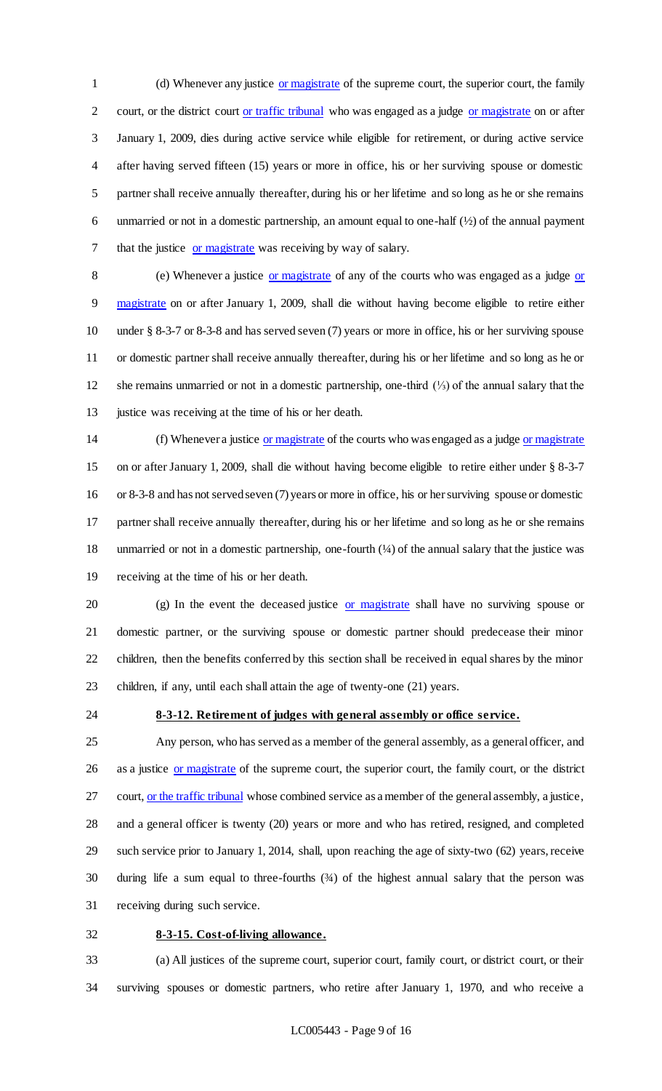(d) Whenever any justice or magistrate of the supreme court, the superior court, the family court, or the district court or traffic tribunal who was engaged as a judge or magistrate on or after January 1, 2009, dies during active service while eligible for retirement, or during active service after having served fifteen (15) years or more in office, his or her surviving spouse or domestic partner shall receive annually thereafter, during his or her lifetime and so long as he or she remains unmarried or not in a domestic partnership, an amount equal to one-half (½) of the annual payment that the justice or magistrate was receiving by way of salary.

8 (e) Whenever a justice or magistrate of any of the courts who was engaged as a judge or magistrate on or after January 1, 2009, shall die without having become eligible to retire either under § 8-3-7 or 8-3-8 and has served seven (7) years or more in office, his or her surviving spouse or domestic partner shall receive annually thereafter, during his or her lifetime and so long as he or she remains unmarried or not in a domestic partnership, one-third (⅓) of the annual salary that the 13 justice was receiving at the time of his or her death.

 (f) Whenever a justice or magistrate of the courts who was engaged as a judge or magistrate on or after January 1, 2009, shall die without having become eligible to retire either under § 8-3-7 or 8-3-8 and has not served seven (7) years or more in office, his or her surviving spouse or domestic partner shall receive annually thereafter, during his or her lifetime and so long as he or she remains unmarried or not in a domestic partnership, one-fourth (¼) of the annual salary that the justice was receiving at the time of his or her death.

20 (g) In the event the deceased justice or magistrate shall have no surviving spouse or domestic partner, or the surviving spouse or domestic partner should predecease their minor children, then the benefits conferred by this section shall be received in equal shares by the minor children, if any, until each shall attain the age of twenty-one (21) years.

# **8-3-12. Retirement of judges with general assembly or office service.**

 Any person, who has served as a member of the general assembly, as a general officer, and 26 as a justice or magistrate of the supreme court, the superior court, the family court, or the district 27 court, or the traffic tribunal whose combined service as a member of the general assembly, a justice, and a general officer is twenty (20) years or more and who has retired, resigned, and completed such service prior to January 1, 2014, shall, upon reaching the age of sixty-two (62) years, receive during life a sum equal to three-fourths (¾) of the highest annual salary that the person was receiving during such service.

#### **8-3-15. Cost-of-living allowance.**

 (a) All justices of the supreme court, superior court, family court, or district court, or their surviving spouses or domestic partners, who retire after January 1, 1970, and who receive a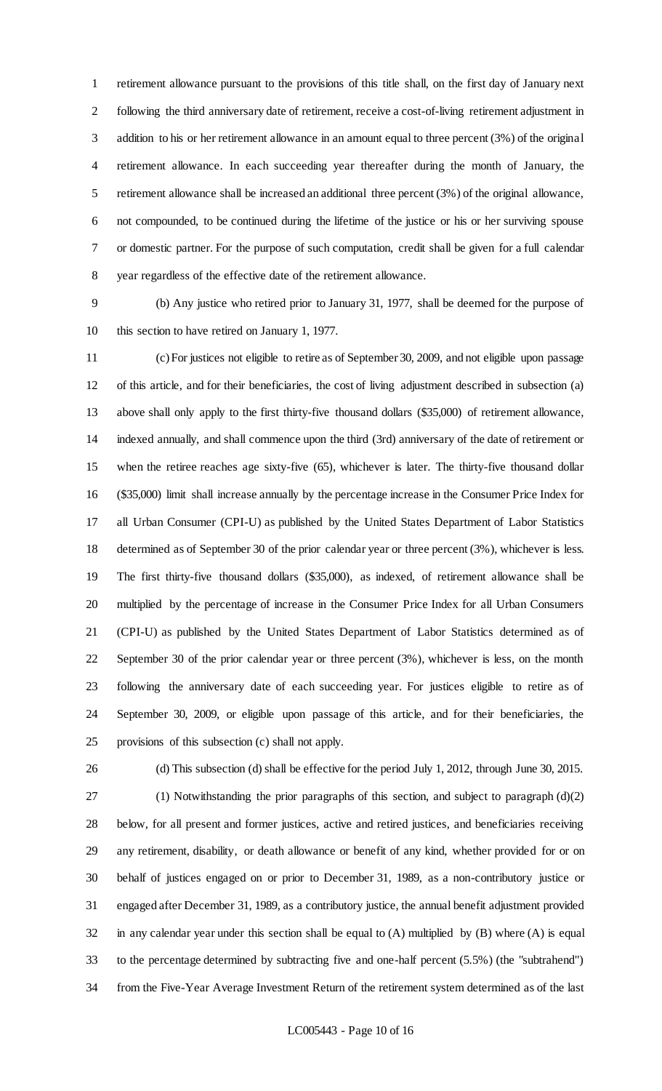retirement allowance pursuant to the provisions of this title shall, on the first day of January next following the third anniversary date of retirement, receive a cost-of-living retirement adjustment in addition to his or her retirement allowance in an amount equal to three percent (3%) of the original retirement allowance. In each succeeding year thereafter during the month of January, the retirement allowance shall be increased an additional three percent (3%) of the original allowance, not compounded, to be continued during the lifetime of the justice or his or her surviving spouse or domestic partner. For the purpose of such computation, credit shall be given for a full calendar year regardless of the effective date of the retirement allowance.

 (b) Any justice who retired prior to January 31, 1977, shall be deemed for the purpose of this section to have retired on January 1, 1977.

 (c) For justices not eligible to retire as of September 30, 2009, and not eligible upon passage of this article, and for their beneficiaries, the cost of living adjustment described in subsection (a) above shall only apply to the first thirty-five thousand dollars (\$35,000) of retirement allowance, indexed annually, and shall commence upon the third (3rd) anniversary of the date of retirement or when the retiree reaches age sixty-five (65), whichever is later. The thirty-five thousand dollar (\$35,000) limit shall increase annually by the percentage increase in the Consumer Price Index for all Urban Consumer (CPI-U) as published by the United States Department of Labor Statistics determined as of September 30 of the prior calendar year or three percent (3%), whichever is less. The first thirty-five thousand dollars (\$35,000), as indexed, of retirement allowance shall be multiplied by the percentage of increase in the Consumer Price Index for all Urban Consumers (CPI-U) as published by the United States Department of Labor Statistics determined as of September 30 of the prior calendar year or three percent (3%), whichever is less, on the month following the anniversary date of each succeeding year. For justices eligible to retire as of September 30, 2009, or eligible upon passage of this article, and for their beneficiaries, the provisions of this subsection (c) shall not apply.

(d) This subsection (d) shall be effective for the period July 1, 2012, through June 30, 2015.

 (1) Notwithstanding the prior paragraphs of this section, and subject to paragraph (d)(2) below, for all present and former justices, active and retired justices, and beneficiaries receiving any retirement, disability, or death allowance or benefit of any kind, whether provided for or on behalf of justices engaged on or prior to December 31, 1989, as a non-contributory justice or engaged after December 31, 1989, as a contributory justice, the annual benefit adjustment provided in any calendar year under this section shall be equal to (A) multiplied by (B) where (A) is equal to the percentage determined by subtracting five and one-half percent (5.5%) (the "subtrahend") from the Five-Year Average Investment Return of the retirement system determined as of the last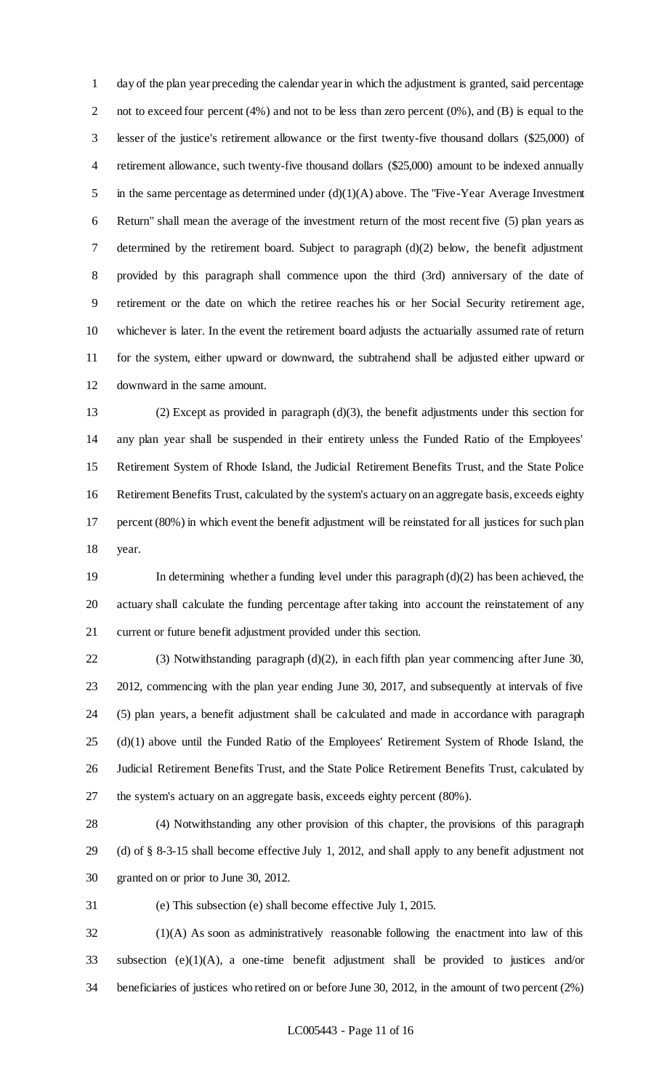day of the plan year preceding the calendar year in which the adjustment is granted, said percentage 2 not to exceed four percent (4%) and not to be less than zero percent (0%), and (B) is equal to the lesser of the justice's retirement allowance or the first twenty-five thousand dollars (\$25,000) of retirement allowance, such twenty-five thousand dollars (\$25,000) amount to be indexed annually 5 in the same percentage as determined under  $(d)(1)(A)$  above. The "Five-Year Average Investment" Return" shall mean the average of the investment return of the most recent five (5) plan years as determined by the retirement board. Subject to paragraph (d)(2) below, the benefit adjustment provided by this paragraph shall commence upon the third (3rd) anniversary of the date of retirement or the date on which the retiree reaches his or her Social Security retirement age, whichever is later. In the event the retirement board adjusts the actuarially assumed rate of return for the system, either upward or downward, the subtrahend shall be adjusted either upward or downward in the same amount.

 (2) Except as provided in paragraph (d)(3), the benefit adjustments under this section for any plan year shall be suspended in their entirety unless the Funded Ratio of the Employees' Retirement System of Rhode Island, the Judicial Retirement Benefits Trust, and the State Police Retirement Benefits Trust, calculated by the system's actuary on an aggregate basis, exceeds eighty percent (80%) in which event the benefit adjustment will be reinstated for all justices for such plan year.

 In determining whether a funding level under this paragraph (d)(2) has been achieved, the actuary shall calculate the funding percentage after taking into account the reinstatement of any current or future benefit adjustment provided under this section.

 (3) Notwithstanding paragraph (d)(2), in each fifth plan year commencing after June 30, 2012, commencing with the plan year ending June 30, 2017, and subsequently at intervals of five (5) plan years, a benefit adjustment shall be calculated and made in accordance with paragraph (d)(1) above until the Funded Ratio of the Employees' Retirement System of Rhode Island, the Judicial Retirement Benefits Trust, and the State Police Retirement Benefits Trust, calculated by the system's actuary on an aggregate basis, exceeds eighty percent (80%).

 (4) Notwithstanding any other provision of this chapter, the provisions of this paragraph (d) of § 8-3-15 shall become effective July 1, 2012, and shall apply to any benefit adjustment not granted on or prior to June 30, 2012.

(e) This subsection (e) shall become effective July 1, 2015.

 (1)(A) As soon as administratively reasonable following the enactment into law of this subsection (e)(1)(A), a one-time benefit adjustment shall be provided to justices and/or beneficiaries of justices who retired on or before June 30, 2012, in the amount of two percent (2%)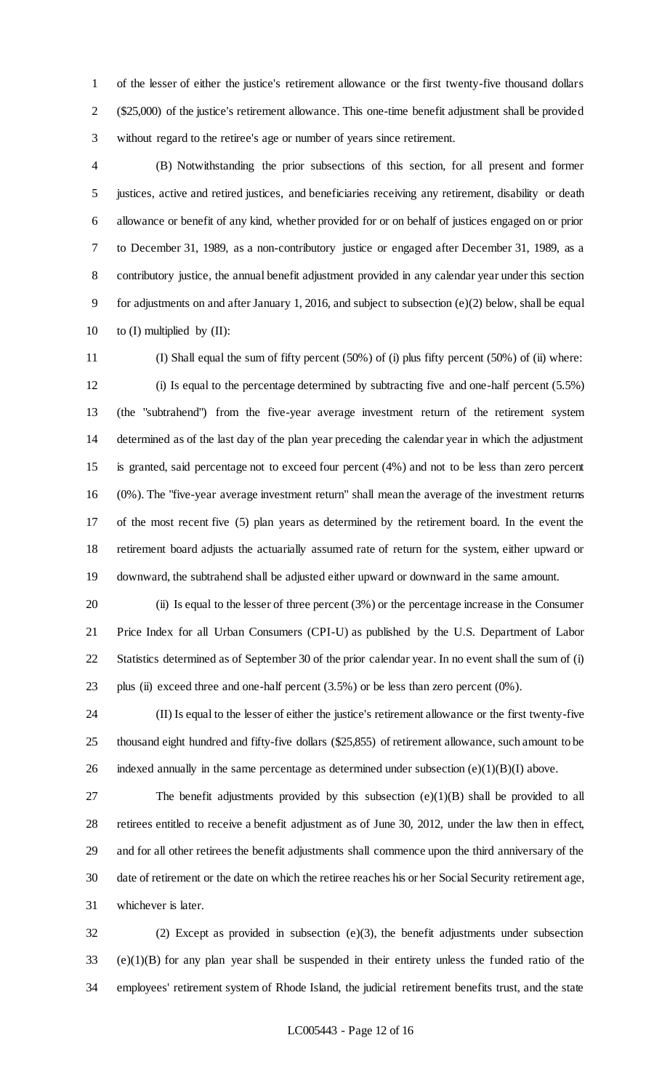of the lesser of either the justice's retirement allowance or the first twenty-five thousand dollars (\$25,000) of the justice's retirement allowance. This one-time benefit adjustment shall be provided without regard to the retiree's age or number of years since retirement.

 (B) Notwithstanding the prior subsections of this section, for all present and former justices, active and retired justices, and beneficiaries receiving any retirement, disability or death allowance or benefit of any kind, whether provided for or on behalf of justices engaged on or prior to December 31, 1989, as a non-contributory justice or engaged after December 31, 1989, as a contributory justice, the annual benefit adjustment provided in any calendar year under this section for adjustments on and after January 1, 2016, and subject to subsection (e)(2) below, shall be equal 10 to  $(I)$  multiplied by  $(II)$ :

 (I) Shall equal the sum of fifty percent (50%) of (i) plus fifty percent (50%) of (ii) where: (i) Is equal to the percentage determined by subtracting five and one-half percent (5.5%) (the "subtrahend") from the five-year average investment return of the retirement system determined as of the last day of the plan year preceding the calendar year in which the adjustment is granted, said percentage not to exceed four percent (4%) and not to be less than zero percent (0%). The "five-year average investment return" shall mean the average of the investment returns of the most recent five (5) plan years as determined by the retirement board. In the event the retirement board adjusts the actuarially assumed rate of return for the system, either upward or downward, the subtrahend shall be adjusted either upward or downward in the same amount.

 (ii) Is equal to the lesser of three percent (3%) or the percentage increase in the Consumer Price Index for all Urban Consumers (CPI-U) as published by the U.S. Department of Labor Statistics determined as of September 30 of the prior calendar year. In no event shall the sum of (i) plus (ii) exceed three and one-half percent (3.5%) or be less than zero percent (0%).

 (II) Is equal to the lesser of either the justice's retirement allowance or the first twenty-five thousand eight hundred and fifty-five dollars (\$25,855) of retirement allowance, such amount to be 26 indexed annually in the same percentage as determined under subsection  $(e)(1)(B)(I)$  above.

 The benefit adjustments provided by this subsection (e)(1)(B) shall be provided to all retirees entitled to receive a benefit adjustment as of June 30, 2012, under the law then in effect, and for all other retirees the benefit adjustments shall commence upon the third anniversary of the date of retirement or the date on which the retiree reaches his or her Social Security retirement age, whichever is later.

 (2) Except as provided in subsection (e)(3), the benefit adjustments under subsection (e)(1)(B) for any plan year shall be suspended in their entirety unless the funded ratio of the employees' retirement system of Rhode Island, the judicial retirement benefits trust, and the state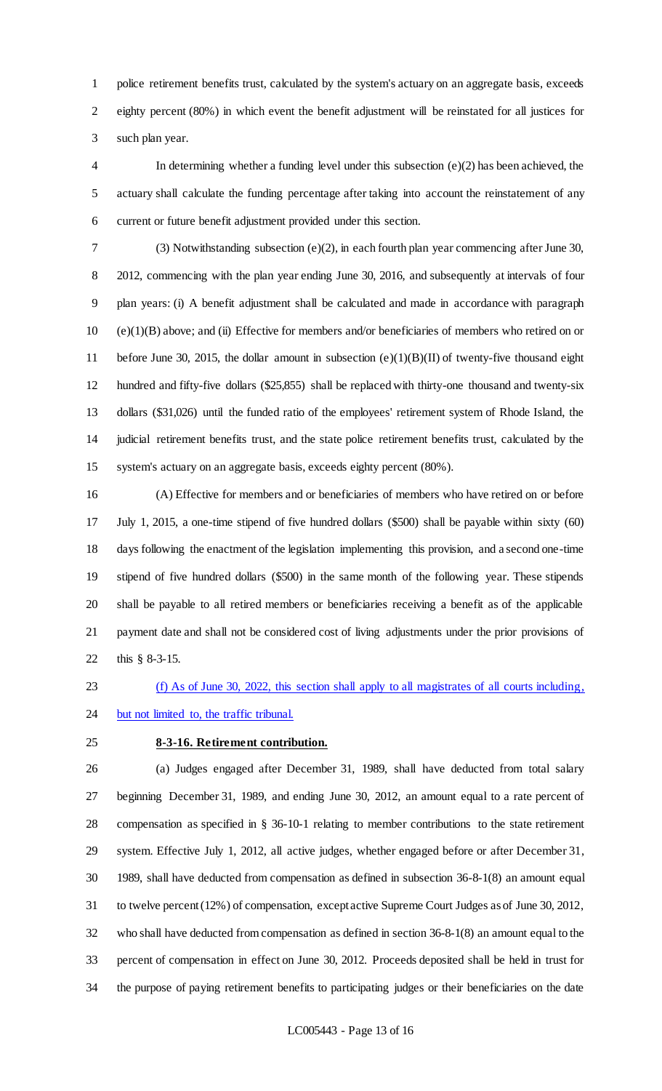police retirement benefits trust, calculated by the system's actuary on an aggregate basis, exceeds eighty percent (80%) in which event the benefit adjustment will be reinstated for all justices for such plan year.

 In determining whether a funding level under this subsection (e)(2) has been achieved, the actuary shall calculate the funding percentage after taking into account the reinstatement of any current or future benefit adjustment provided under this section.

 (3) Notwithstanding subsection (e)(2), in each fourth plan year commencing after June 30, 2012, commencing with the plan year ending June 30, 2016, and subsequently at intervals of four plan years: (i) A benefit adjustment shall be calculated and made in accordance with paragraph (e)(1)(B) above; and (ii) Effective for members and/or beneficiaries of members who retired on or before June 30, 2015, the dollar amount in subsection (e)(1)(B)(II) of twenty-five thousand eight hundred and fifty-five dollars (\$25,855) shall be replaced with thirty-one thousand and twenty-six dollars (\$31,026) until the funded ratio of the employees' retirement system of Rhode Island, the judicial retirement benefits trust, and the state police retirement benefits trust, calculated by the system's actuary on an aggregate basis, exceeds eighty percent (80%).

 (A) Effective for members and or beneficiaries of members who have retired on or before July 1, 2015, a one-time stipend of five hundred dollars (\$500) shall be payable within sixty (60) days following the enactment of the legislation implementing this provision, and a second one-time stipend of five hundred dollars (\$500) in the same month of the following year. These stipends shall be payable to all retired members or beneficiaries receiving a benefit as of the applicable payment date and shall not be considered cost of living adjustments under the prior provisions of this § 8-3-15.

(f) As of June 30, 2022, this section shall apply to all magistrates of all courts including,

# 24 but not limited to, the traffic tribunal.

# **8-3-16. Retirement contribution.**

 (a) Judges engaged after December 31, 1989, shall have deducted from total salary beginning December 31, 1989, and ending June 30, 2012, an amount equal to a rate percent of compensation as specified in § 36-10-1 relating to member contributions to the state retirement system. Effective July 1, 2012, all active judges, whether engaged before or after December 31, 1989, shall have deducted from compensation as defined in subsection 36-8-1(8) an amount equal to twelve percent (12%) of compensation, except active Supreme Court Judges as of June 30, 2012, who shall have deducted from compensation as defined in section 36-8-1(8) an amount equal to the percent of compensation in effect on June 30, 2012. Proceeds deposited shall be held in trust for the purpose of paying retirement benefits to participating judges or their beneficiaries on the date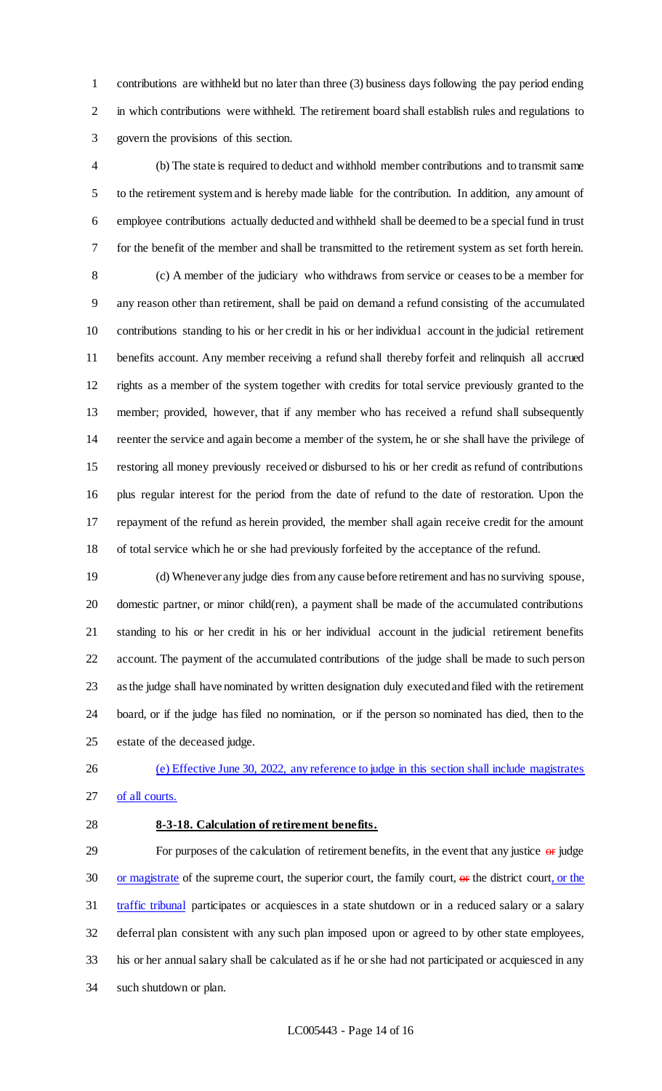contributions are withheld but no later than three (3) business days following the pay period ending in which contributions were withheld. The retirement board shall establish rules and regulations to govern the provisions of this section.

 (b) The state is required to deduct and withhold member contributions and to transmit same to the retirement system and is hereby made liable for the contribution. In addition, any amount of employee contributions actually deducted and withheld shall be deemed to be a special fund in trust for the benefit of the member and shall be transmitted to the retirement system as set forth herein. (c) A member of the judiciary who withdraws from service or ceases to be a member for any reason other than retirement, shall be paid on demand a refund consisting of the accumulated contributions standing to his or her credit in his or her individual account in the judicial retirement benefits account. Any member receiving a refund shall thereby forfeit and relinquish all accrued rights as a member of the system together with credits for total service previously granted to the member; provided, however, that if any member who has received a refund shall subsequently reenter the service and again become a member of the system, he or she shall have the privilege of restoring all money previously received or disbursed to his or her credit as refund of contributions plus regular interest for the period from the date of refund to the date of restoration. Upon the repayment of the refund as herein provided, the member shall again receive credit for the amount of total service which he or she had previously forfeited by the acceptance of the refund.

 (d) Whenever any judge dies from any cause before retirement and has no surviving spouse, domestic partner, or minor child(ren), a payment shall be made of the accumulated contributions standing to his or her credit in his or her individual account in the judicial retirement benefits account. The payment of the accumulated contributions of the judge shall be made to such person as the judge shall have nominated by written designation duly executed and filed with the retirement board, or if the judge has filed no nomination, or if the person so nominated has died, then to the estate of the deceased judge.

 (e) Effective June 30, 2022, any reference to judge in this section shall include magistrates of all courts.

### **8-3-18. Calculation of retirement benefits.**

29 For purposes of the calculation of retirement benefits, in the event that any justice or judge 30 or magistrate of the supreme court, the superior court, the family court,  $\Theta$ r the district court, or the traffic tribunal participates or acquiesces in a state shutdown or in a reduced salary or a salary deferral plan consistent with any such plan imposed upon or agreed to by other state employees, his or her annual salary shall be calculated as if he or she had not participated or acquiesced in any such shutdown or plan.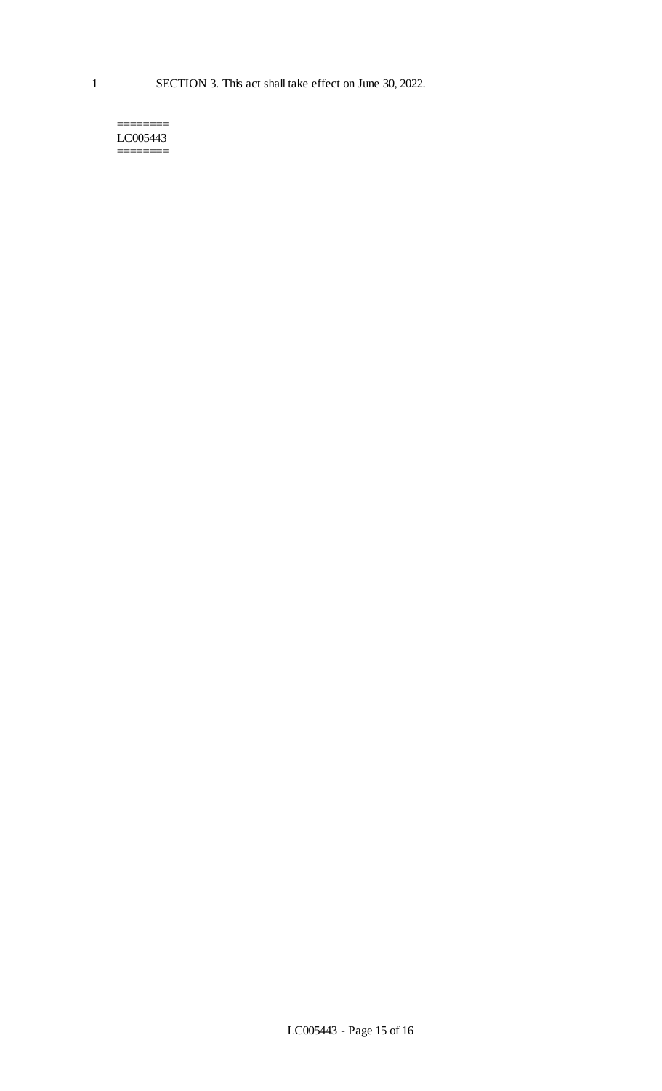======== LC005443 ========